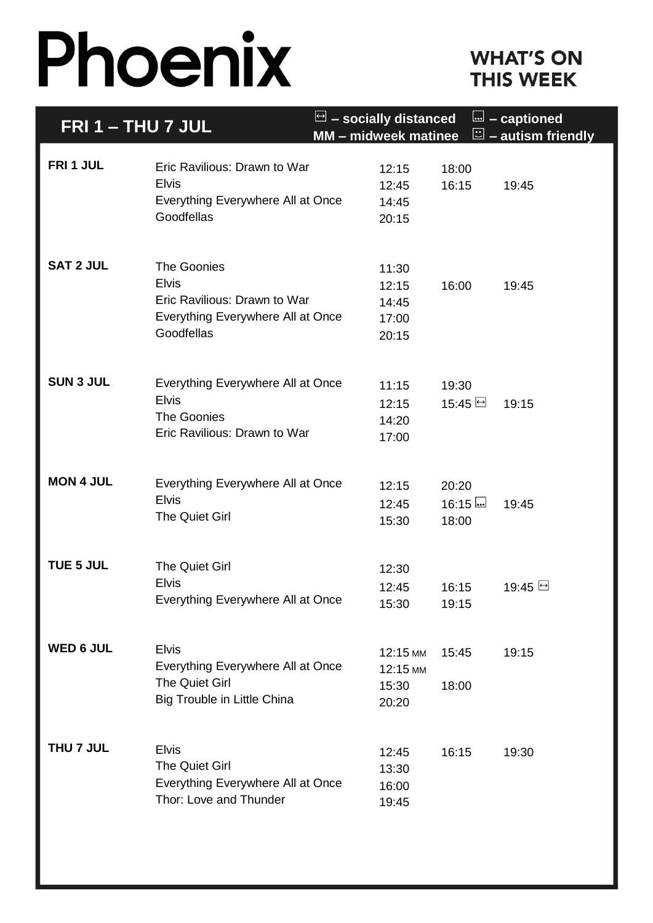# Phoenix

### **WHAT'S ON THIS WEEK**

| <b>FRI 1 - THU 7 JUL</b> |                                                                                                                | $\Box$ – socially distanced<br><b>MM - midweek matinee</b> |                           | $\mathbf{L}$ – captioned<br>$\Xi$ – autism friendly |
|--------------------------|----------------------------------------------------------------------------------------------------------------|------------------------------------------------------------|---------------------------|-----------------------------------------------------|
| FRI 1 JUL                | Eric Ravilious: Drawn to War<br><b>Elvis</b><br>Everything Everywhere All at Once<br>Goodfellas                | 12:15<br>12:45<br>14:45<br>20:15                           | 18:00<br>16:15            | 19:45                                               |
| <b>SAT 2 JUL</b>         | The Goonies<br><b>Elvis</b><br>Eric Ravilious: Drawn to War<br>Everything Everywhere All at Once<br>Goodfellas | 11:30<br>12:15<br>14:45<br>17:00<br>20:15                  | 16:00                     | 19:45                                               |
| <b>SUN 3 JUL</b>         | Everything Everywhere All at Once<br><b>Elvis</b><br>The Goonies<br>Eric Ravilious: Drawn to War               | 11:15<br>12:15<br>14:20<br>17:00                           | 19:30<br>$15:45 \Box$     | 19:15                                               |
| <b>MON 4 JUL</b>         | Everything Everywhere All at Once<br><b>Elvis</b><br><b>The Quiet Girl</b>                                     | 12:15<br>12:45<br>15:30                                    | 20:20<br>$16:15$<br>18:00 | 19:45                                               |
| TUE 5 JUL                | <b>The Quiet Girl</b><br><b>Elvis</b><br>Everything Everywhere All at Once                                     | 12:30<br>12:45<br>15:30                                    | 16:15<br>19:15            | 19:45 →                                             |
| <b>WED 6 JUL</b>         | <b>Elvis</b><br>Everything Everywhere All at Once<br>The Quiet Girl<br>Big Trouble in Little China             | 12:15 MM<br>12:15 MM<br>15:30<br>20:20                     | 15:45<br>18:00            | 19:15                                               |
| THU 7 JUL                | <b>Elvis</b><br>The Quiet Girl<br>Everything Everywhere All at Once<br>Thor: Love and Thunder                  | 12:45<br>13:30<br>16:00<br>19:45                           | 16:15                     | 19:30                                               |